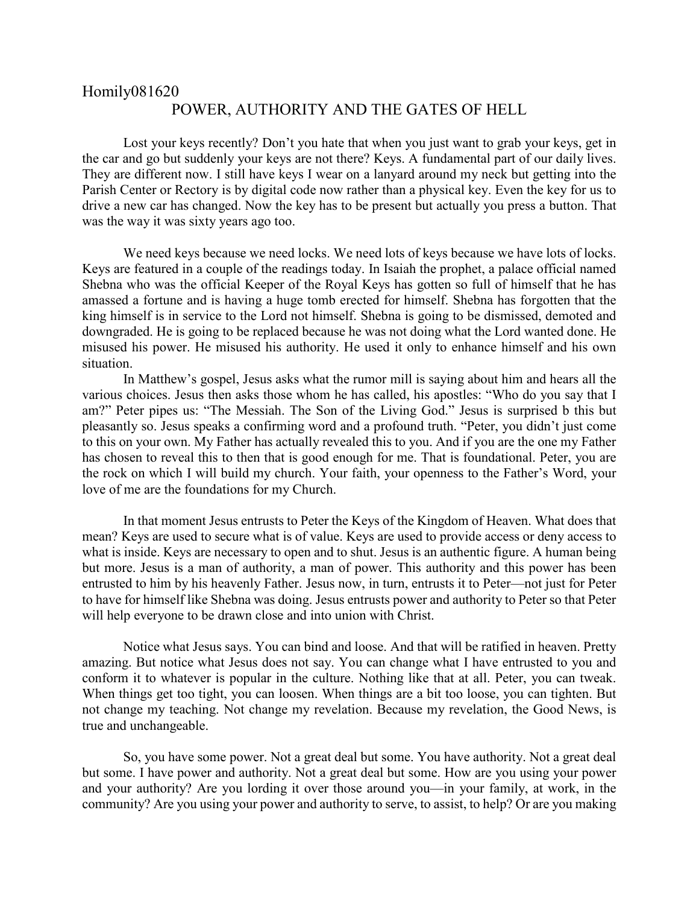## Homily081620 POWER, AUTHORITY AND THE GATES OF HELL

Lost your keys recently? Don't you hate that when you just want to grab your keys, get in the car and go but suddenly your keys are not there? Keys. A fundamental part of our daily lives. They are different now. I still have keys I wear on a lanyard around my neck but getting into the Parish Center or Rectory is by digital code now rather than a physical key. Even the key for us to drive a new car has changed. Now the key has to be present but actually you press a button. That was the way it was sixty years ago too.

We need keys because we need locks. We need lots of keys because we have lots of locks. Keys are featured in a couple of the readings today. In Isaiah the prophet, a palace official named Shebna who was the official Keeper of the Royal Keys has gotten so full of himself that he has amassed a fortune and is having a huge tomb erected for himself. Shebna has forgotten that the king himself is in service to the Lord not himself. Shebna is going to be dismissed, demoted and downgraded. He is going to be replaced because he was not doing what the Lord wanted done. He misused his power. He misused his authority. He used it only to enhance himself and his own situation.

In Matthew's gospel, Jesus asks what the rumor mill is saying about him and hears all the various choices. Jesus then asks those whom he has called, his apostles: "Who do you say that I am?" Peter pipes us: "The Messiah. The Son of the Living God." Jesus is surprised b this but pleasantly so. Jesus speaks a confirming word and a profound truth. "Peter, you didn't just come to this on your own. My Father has actually revealed this to you. And if you are the one my Father has chosen to reveal this to then that is good enough for me. That is foundational. Peter, you are the rock on which I will build my church. Your faith, your openness to the Father's Word, your love of me are the foundations for my Church.

In that moment Jesus entrusts to Peter the Keys of the Kingdom of Heaven. What does that mean? Keys are used to secure what is of value. Keys are used to provide access or deny access to what is inside. Keys are necessary to open and to shut. Jesus is an authentic figure. A human being but more. Jesus is a man of authority, a man of power. This authority and this power has been entrusted to him by his heavenly Father. Jesus now, in turn, entrusts it to Peter—not just for Peter to have for himself like Shebna was doing. Jesus entrusts power and authority to Peter so that Peter will help everyone to be drawn close and into union with Christ.

Notice what Jesus says. You can bind and loose. And that will be ratified in heaven. Pretty amazing. But notice what Jesus does not say. You can change what I have entrusted to you and conform it to whatever is popular in the culture. Nothing like that at all. Peter, you can tweak. When things get too tight, you can loosen. When things are a bit too loose, you can tighten. But not change my teaching. Not change my revelation. Because my revelation, the Good News, is true and unchangeable.

So, you have some power. Not a great deal but some. You have authority. Not a great deal but some. I have power and authority. Not a great deal but some. How are you using your power and your authority? Are you lording it over those around you—in your family, at work, in the community? Are you using your power and authority to serve, to assist, to help? Or are you making